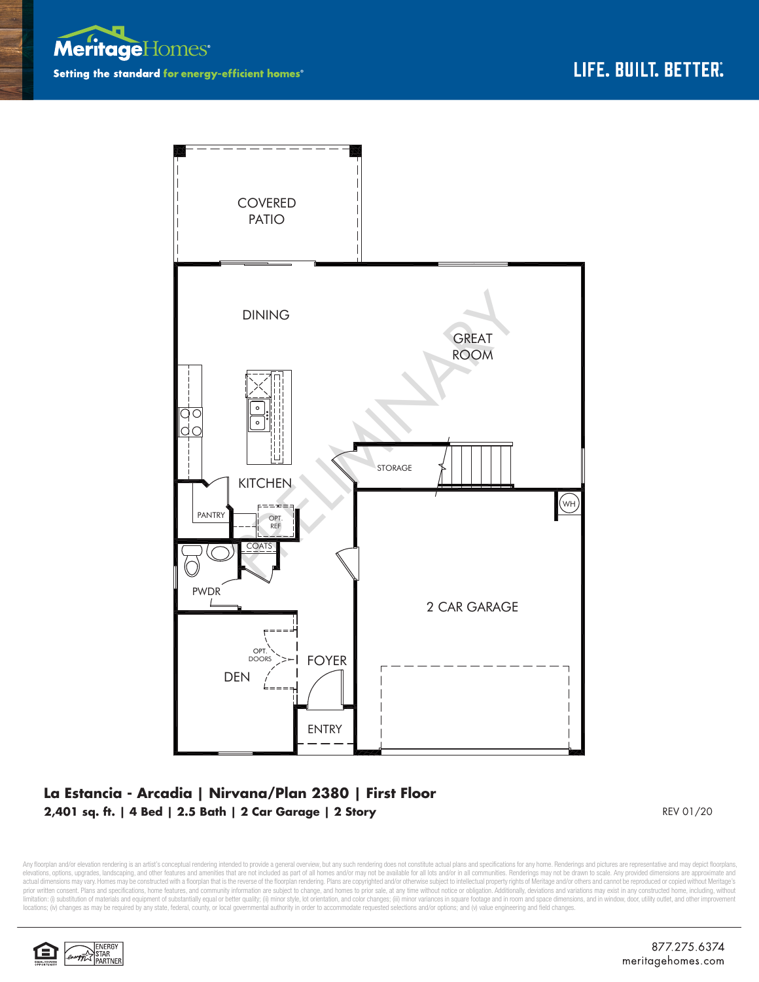



## **La Estancia - Arcadia | Nirvana/Plan 2380 | First Floor 2,401 sq. ft. | 4 Bed | 2.5 Bath | 2 Car Garage | 2 Story**

REV 01/20

Any floorplan and/or elevation rendering is an artist's conceptual rendering intended to provide a general overview, but any such rendering does not constitute actual plans and specifications for any home. Renderings and p elevations, options, upgrades, landscaping, and other features and amenities that are not included as part of all homes and/or may not be available for all lots and/or in all communities. Renderings may not be drawn to sca limitation: (i) substitution of materials and equipment of substantially equal or better quality; (ii) minor style, lot orientation, and color changes; (iii) minor variances in square footage and in room and space dimensio locations; (iv) changes as may be required by any state, federal, county, or local governmental authority in order to accommodate requested selections and/or options; and (v) value engineering and field changes.